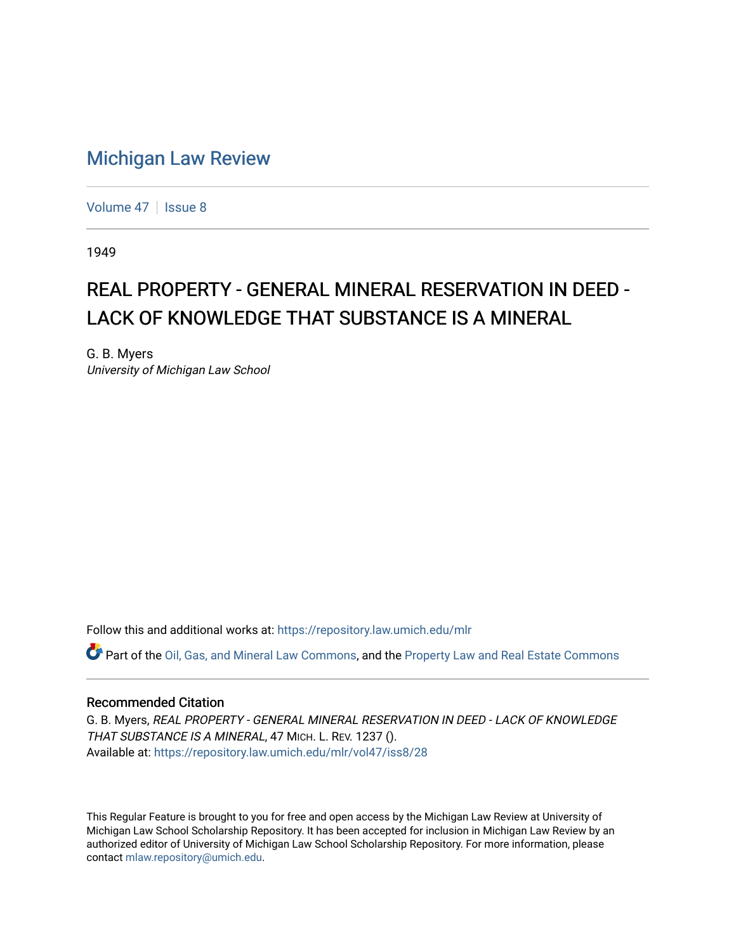## [Michigan Law Review](https://repository.law.umich.edu/mlr)

[Volume 47](https://repository.law.umich.edu/mlr/vol47) | [Issue 8](https://repository.law.umich.edu/mlr/vol47/iss8)

1949

## REAL PROPERTY - GENERAL MINERAL RESERVATION IN DEED -LACK OF KNOWLEDGE THAT SUBSTANCE IS A MINERAL

G. B. Myers University of Michigan Law School

Follow this and additional works at: [https://repository.law.umich.edu/mlr](https://repository.law.umich.edu/mlr?utm_source=repository.law.umich.edu%2Fmlr%2Fvol47%2Fiss8%2F28&utm_medium=PDF&utm_campaign=PDFCoverPages) 

Part of the [Oil, Gas, and Mineral Law Commons,](http://network.bepress.com/hgg/discipline/864?utm_source=repository.law.umich.edu%2Fmlr%2Fvol47%2Fiss8%2F28&utm_medium=PDF&utm_campaign=PDFCoverPages) and the [Property Law and Real Estate Commons](http://network.bepress.com/hgg/discipline/897?utm_source=repository.law.umich.edu%2Fmlr%2Fvol47%2Fiss8%2F28&utm_medium=PDF&utm_campaign=PDFCoverPages) 

## Recommended Citation

G. B. Myers, REAL PROPERTY - GENERAL MINERAL RESERVATION IN DEED - LACK OF KNOWLEDGE THAT SUBSTANCE IS A MINERAL, 47 MICH. L. REV. 1237 (). Available at: [https://repository.law.umich.edu/mlr/vol47/iss8/28](https://repository.law.umich.edu/mlr/vol47/iss8/28?utm_source=repository.law.umich.edu%2Fmlr%2Fvol47%2Fiss8%2F28&utm_medium=PDF&utm_campaign=PDFCoverPages) 

This Regular Feature is brought to you for free and open access by the Michigan Law Review at University of Michigan Law School Scholarship Repository. It has been accepted for inclusion in Michigan Law Review by an authorized editor of University of Michigan Law School Scholarship Repository. For more information, please contact [mlaw.repository@umich.edu](mailto:mlaw.repository@umich.edu).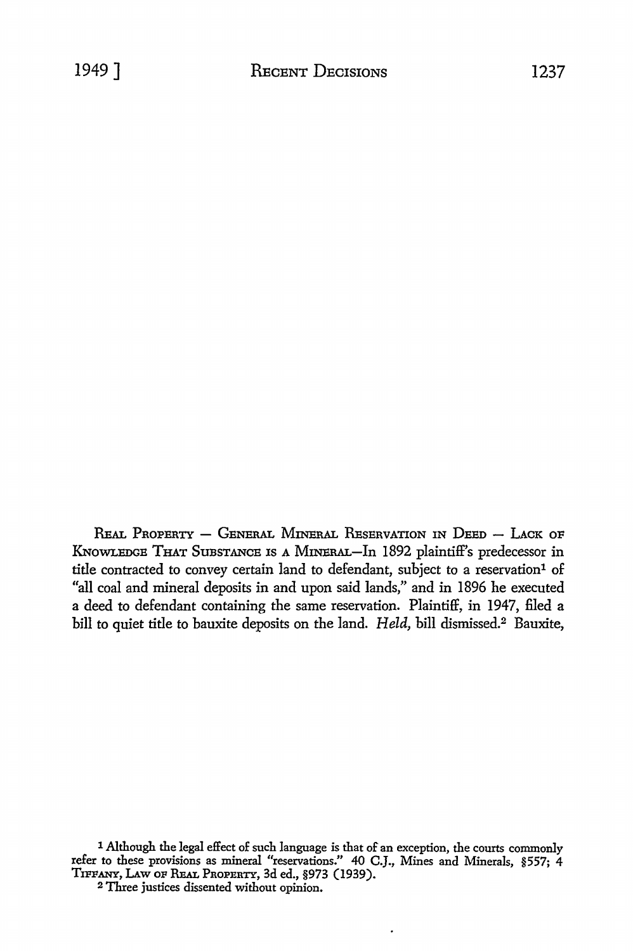REAL PROPERTY  $-$  GENERAL MINERAL RESERVATION IN DEED  $-$  LACK of KNOWLEDGE THAT SuBSTANCE Is A MINERAL-In 1892 plaintiff's predecessor in title contracted to convey certain land to defendant, subject to a reservation<sup>1</sup> of "all coal and mineral deposits in and upon said lands," and in 1896 he executed a deed to defendant containing the same reservation. Plaintiff, in 1947, filed a bill to quiet title to bauxite deposits on the land. *Held,* bill dismissed.2 Bauxite,

<sup>1</sup> Although the legal effect of such language is that of an exception, the courts commonly refer to these provisions as mineral "reservations." 40 C.J., Mines and Minerals, §557; 4 TIFFANY, LAw OF REAL PROPERTY, 3d ed., §973 (1939).

<sup>2</sup> Three justices dissented without opinion.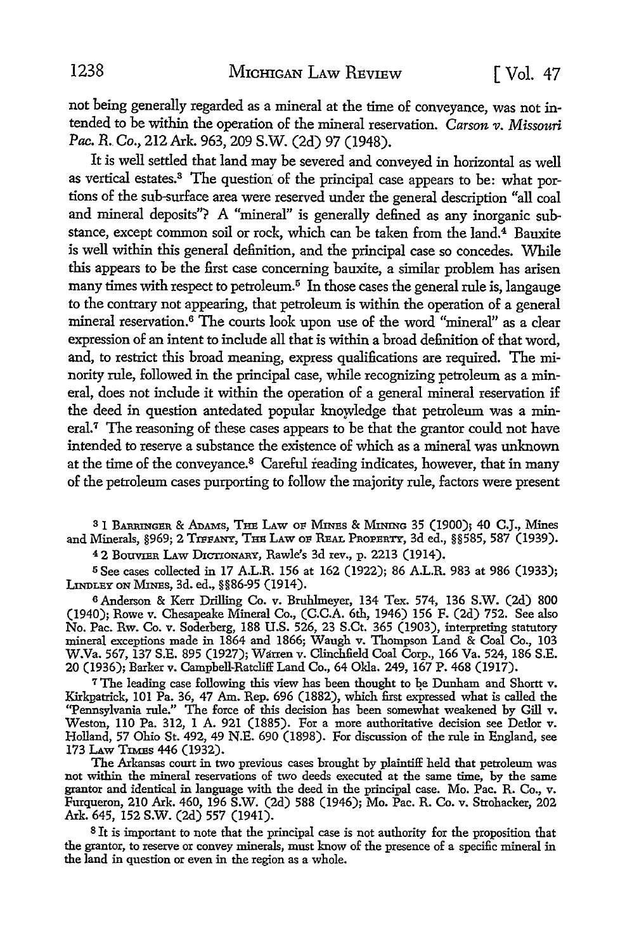not being generally regarded as a mineral at the time of conveyance, was not intended to be within the operation of the mineral reservation. *Carson v. Missouri Pac. R. Co.,* 212 Ark. 963, 209 S.W. (2d) 97 (1948).

It is well settled that land may be severed and conveyed in horizontal as well as vertical estates.3 The question: of the principal case appears to be: what portions of the sub-surface area were reserved under the general description "all coal and mineral deposits"? A "mineral" is generally defined as any inorganic substance, except common soil or rock, which can be taken from the land.<sup>4</sup> Bauxite is well within this general definition, and the principal case so concedes. While this appears to be the first case concerning bauxite, a similar problem has arisen many times with respect to petroleum.<sup>5</sup> In those cases the general rule is, langauge to the contrary not appearing, that petroleum is within the operation of a general mineral reservation.<sup>6</sup> The courts look upon use of the word "mineral" as a clear expression of an intent to include all that is within a broad definition of that word, and, to restrict this broad meaning, express qualifications are required. The minority rule, followed in the principal case, while recognizing petroleum as a mineral, does not include it within the operation of a general mineral reservation if the deed in question antedated popular knowledge that petroleum was a mineral.<sup>7</sup> The reasoning of these cases appears to be that the grantor could not have intended to reserve a substance the existence of which as a mineral was unknown at the time of the conveyance.<sup>8</sup> Careful reading indicates, however, that in many of the petroleum cases purporting to follow the majority rule, factors were present

s 1 BARRINGER & AnAMs, THE LAW OF Mnrns & MINING 35 (1900); 40 C.J., Mines and Minerals, §969; 2 TIFFANY, THE LAW OF REAL PROPERTY, 3d ed., §§585, 587 (1939).

<sup>4</sup> 2 Bouvier Law Dictionary, Rawle's 3d rev., p. 2213 (1914).

<sup>5</sup>See cases collected in 17 A.L.R. 156 at 162 (1922); 86 A.L.R. 983 at 986 (1933); LINDLEY ON Mims, 3d. ed., §§86-95 (1914).

<sup>6</sup>Anderson & Kerr Drilling Co. v. Bmhlmeyer, 134 Tex. 574, 136 S.W. (2d) 800 (1940); Rowe v. Chesapeake Mineral Co., (C.C.A. 6th, 1946) 156 F. (2d) 752. See also No. Pac. Rw. Co. v. Soderberg, 188 U.S. 526, 23 S.Ct. 365 (1903), interpreting statutory mineral exceptions made in 1864 and 1866; Waugh v. Thompson Land & Coal Co., 103 W.Va. 567, 137 S.E. 895 (1927); Warren v. Clinchfield Coal Corp., 166 Va. 524, 186 S.E. 20 (1936); Barker v. Campbell-Ratcliff Land Co., 64 Okla. 249, 167 P. 468 (1917).

<sup>7</sup>The leading case following this view has been thought to be Dunham and Shortt v. Kirkpatrick, 101 Pa. 36, 47 Am. Rep. 696 (1882), which first expressed what is called the "Pennsylvania rule." The force of this decision has been somewhat weakened by Gill v. Weston, 110 Pa. 312, 1 A. 921 (1885). For a more authoritative decision see Detlor v. Holland, 57 Ohio St. 492, 49 N.E. 690 (1898). For discussion of the rule in England, see 173 Law TIMES 446 (1932).

The Arkansas court in two previous cases brought by plaintiff held that petroleum was not within the mineral reservations of two deeds executed at the same time, by the same grantor and identical in language with the deed in the principal case. Mo. Pac. R. Co., v. Furqueron, 210 Ark. 460, 196 S.W. (2d) 588 (1946); Mo. Pac. R. Co. v. Strohacker, 202 Ark. 645, 152 S.W. (2d) 557 (1941).

<sup>8</sup>It is important to note that the principal case is not authority for the proposition that the granter, to reserve or convey minerals, must know of the presence of a specific mineral in the land in question or even in the region as a whole.